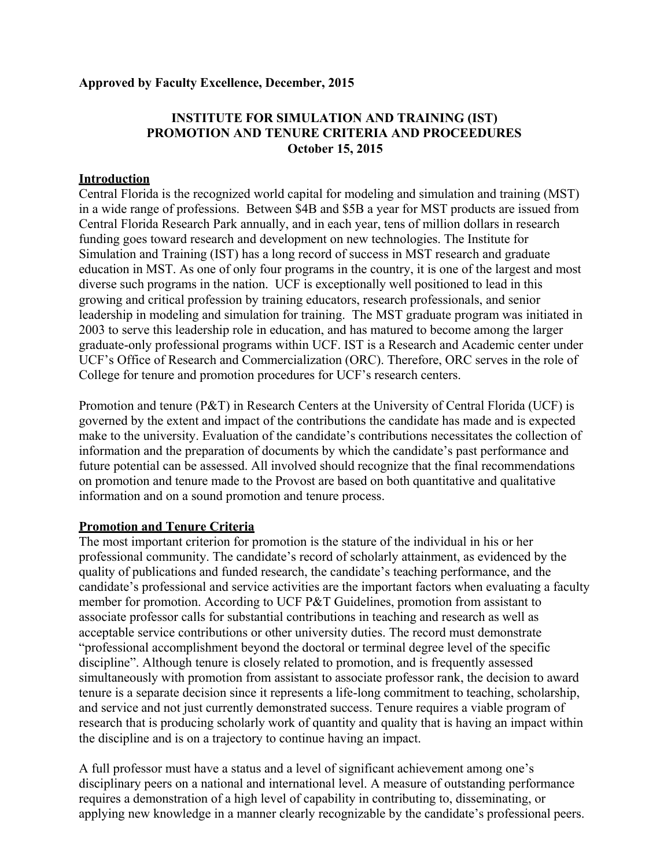## **Approved by Faculty Excellence, December, 2015**

# **INSTITUTE FOR SIMULATION AND TRAINING (IST) PROMOTION AND TENURE CRITERIA AND PROCEEDURES October 15, 2015**

### **Introduction**

Central Florida is the recognized world capital for modeling and simulation and training (MST) in a wide range of professions. Between \$4B and \$5B a year for MST products are issued from Central Florida Research Park annually, and in each year, tens of million dollars in research funding goes toward research and development on new technologies. The Institute for Simulation and Training (IST) has a long record of success in MST research and graduate education in MST. As one of only four programs in the country, it is one of the largest and most diverse such programs in the nation. UCF is exceptionally well positioned to lead in this growing and critical profession by training educators, research professionals, and senior leadership in modeling and simulation for training. The MST graduate program was initiated in 2003 to serve this leadership role in education, and has matured to become among the larger graduate-only professional programs within UCF. IST is a Research and Academic center under UCF's Office of Research and Commercialization (ORC). Therefore, ORC serves in the role of College for tenure and promotion procedures for UCF's research centers.

Promotion and tenure ( $P&T$ ) in Research Centers at the University of Central Florida (UCF) is governed by the extent and impact of the contributions the candidate has made and is expected make to the university. Evaluation of the candidate's contributions necessitates the collection of information and the preparation of documents by which the candidate's past performance and future potential can be assessed. All involved should recognize that the final recommendations on promotion and tenure made to the Provost are based on both quantitative and qualitative information and on a sound promotion and tenure process.

#### **Promotion and Tenure Criteria**

The most important criterion for promotion is the stature of the individual in his or her professional community. The candidate's record of scholarly attainment, as evidenced by the quality of publications and funded research, the candidate's teaching performance, and the candidate's professional and service activities are the important factors when evaluating a faculty member for promotion. According to UCF P&T Guidelines, promotion from assistant to associate professor calls for substantial contributions in teaching and research as well as acceptable service contributions or other university duties. The record must demonstrate "professional accomplishment beyond the doctoral or terminal degree level of the specific discipline". Although tenure is closely related to promotion, and is frequently assessed simultaneously with promotion from assistant to associate professor rank, the decision to award tenure is a separate decision since it represents a life-long commitment to teaching, scholarship, and service and not just currently demonstrated success. Tenure requires a viable program of research that is producing scholarly work of quantity and quality that is having an impact within the discipline and is on a trajectory to continue having an impact.

A full professor must have a status and a level of significant achievement among one's disciplinary peers on a national and international level. A measure of outstanding performance requires a demonstration of a high level of capability in contributing to, disseminating, or applying new knowledge in a manner clearly recognizable by the candidate's professional peers.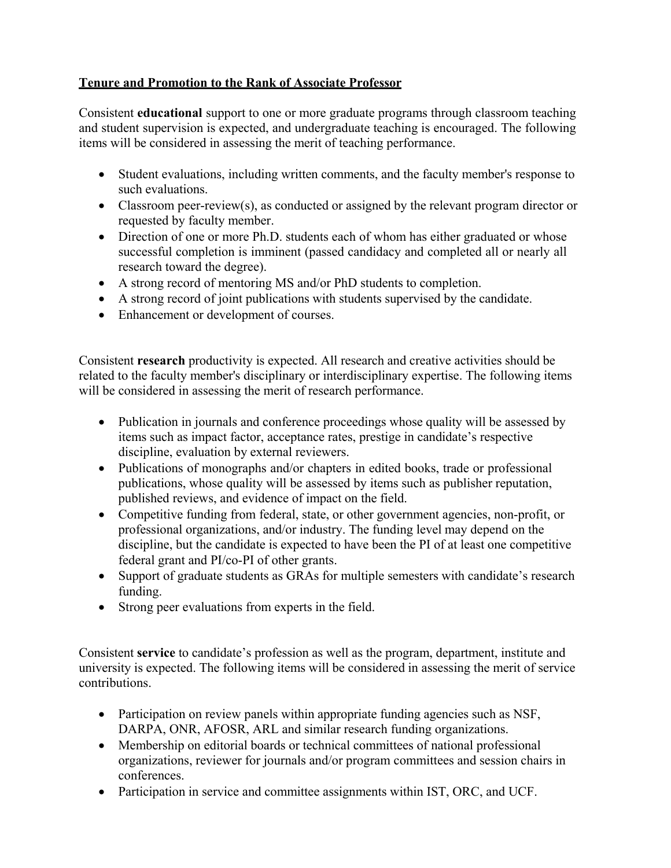# **Tenure and Promotion to the Rank of Associate Professor**

Consistent **educational** support to one or more graduate programs through classroom teaching and student supervision is expected, and undergraduate teaching is encouraged. The following items will be considered in assessing the merit of teaching performance.

- Student evaluations, including written comments, and the faculty member's response to such evaluations.
- Classroom peer-review(s), as conducted or assigned by the relevant program director or requested by faculty member.
- Direction of one or more Ph.D. students each of whom has either graduated or whose successful completion is imminent (passed candidacy and completed all or nearly all research toward the degree).
- A strong record of mentoring MS and/or PhD students to completion.
- A strong record of joint publications with students supervised by the candidate.
- Enhancement or development of courses.

Consistent **research** productivity is expected. All research and creative activities should be related to the faculty member's disciplinary or interdisciplinary expertise. The following items will be considered in assessing the merit of research performance.

- Publication in journals and conference proceedings whose quality will be assessed by items such as impact factor, acceptance rates, prestige in candidate's respective discipline, evaluation by external reviewers.
- Publications of monographs and/or chapters in edited books, trade or professional publications, whose quality will be assessed by items such as publisher reputation, published reviews, and evidence of impact on the field.
- Competitive funding from federal, state, or other government agencies, non-profit, or professional organizations, and/or industry. The funding level may depend on the discipline, but the candidate is expected to have been the PI of at least one competitive federal grant and PI/co-PI of other grants.
- Support of graduate students as GRAs for multiple semesters with candidate's research funding.
- Strong peer evaluations from experts in the field.

Consistent **service** to candidate's profession as well as the program, department, institute and university is expected. The following items will be considered in assessing the merit of service contributions.

- Participation on review panels within appropriate funding agencies such as NSF, DARPA, ONR, AFOSR, ARL and similar research funding organizations.
- Membership on editorial boards or technical committees of national professional organizations, reviewer for journals and/or program committees and session chairs in conferences.
- Participation in service and committee assignments within IST, ORC, and UCF.